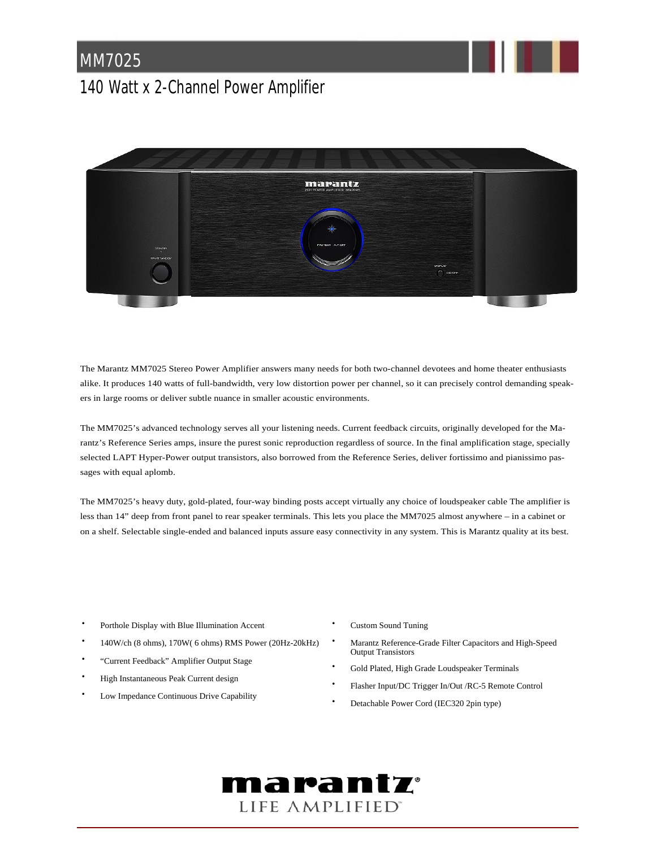## MM7025

## 140 Watt x 2-Channel Power Amplifier



The Marantz MM7025 Stereo Power Amplifier answers many needs for both two-channel devotees and home theater enthusiasts alike. It produces 140 watts of full-bandwidth, very low distortion power per channel, so it can precisely control demanding speakers in large rooms or deliver subtle nuance in smaller acoustic environments.

The MM7025's advanced technology serves all your listening needs. Current feedback circuits, originally developed for the Marantz's Reference Series amps, insure the purest sonic reproduction regardless of source. In the final amplification stage, specially selected LAPT Hyper-Power output transistors, also borrowed from the Reference Series, deliver fortissimo and pianissimo passages with equal aplomb.

The MM7025's heavy duty, gold-plated, four-way binding posts accept virtually any choice of loudspeaker cable The amplifier is less than 14" deep from front panel to rear speaker terminals. This lets you place the MM7025 almost anywhere – in a cabinet or on a shelf. Selectable single-ended and balanced inputs assure easy connectivity in any system. This is Marantz quality at its best.

- Porthole Display with Blue Illumination Accent
- 140W/ch (8 ohms), 170W( 6 ohms) RMS Power (20Hz-20kHz)
- "Current Feedback" Amplifier Output Stage
- High Instantaneous Peak Current design
- Low Impedance Continuous Drive Capability
- Custom Sound Tuning
- Marantz Reference-Grade Filter Capacitors and High-Speed Output Transistors
- Gold Plated, High Grade Loudspeaker Terminals
- Flasher Input/DC Trigger In/Out /RC-5 Remote Control
- Detachable Power Cord (IEC320 2pin type)